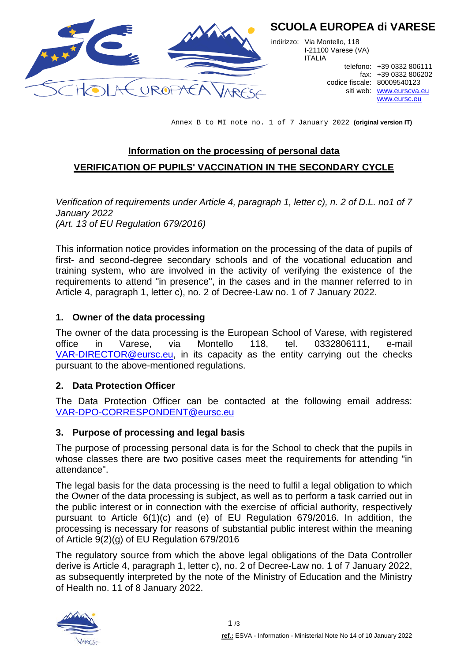

# **SCUOLA EUROPEA di VARESE**

indirizzo: Via Montello, 118 I-21100 Varese (VA) ITALIA

codice fiscale: 80009540123

telefono: +39 0332 806111 fax: +39 0332 806202 siti web: [www.eurscva.eu](http://www.eurscva.eu/) [www.eursc.eu](http://www.eursc.eu/)

Annex B to MI note no. 1 of 7 January 2022 **(original version IT)**

# **Information on the processing of personal data VERIFICATION OF PUPILS' VACCINATION IN THE SECONDARY CYCLE**

*Verification of requirements under Article 4, paragraph 1, letter c), n. 2 of D.L. no1 of 7 January 2022 (Art. 13 of EU Regulation 679/2016)*

This information notice provides information on the processing of the data of pupils of first- and second-degree secondary schools and of the vocational education and training system, who are involved in the activity of verifying the existence of the requirements to attend "in presence", in the cases and in the manner referred to in Article 4, paragraph 1, letter c), no. 2 of Decree-Law no. 1 of 7 January 2022.

#### **1. Owner of the data processing**

The owner of the data processing is the European School of Varese, with registered office in Varese, via Montello 118, tel. 0332806111, e-mail [VAR-DIRECTOR@eursc.eu,](mailto:VAR-DIRECTOR@eursc.eu) in its capacity as the entity carrying out the checks pursuant to the above-mentioned regulations.

# **2. Data Protection Officer**

The Data Protection Officer can be contacted at the following email address: [VAR-DPO-CORRESPONDENT@eursc.eu](mailto:VAR-DPO-CORRESPONDENT@eursc.eu)

# **3. Purpose of processing and legal basis**

The purpose of processing personal data is for the School to check that the pupils in whose classes there are two positive cases meet the requirements for attending "in attendance".

The legal basis for the data processing is the need to fulfil a legal obligation to which the Owner of the data processing is subject, as well as to perform a task carried out in the public interest or in connection with the exercise of official authority, respectively pursuant to Article 6(1)(c) and (e) of EU Regulation 679/2016. In addition, the processing is necessary for reasons of substantial public interest within the meaning of Article 9(2)(g) of EU Regulation 679/2016

The regulatory source from which the above legal obligations of the Data Controller derive is Article 4, paragraph 1, letter c), no. 2 of Decree-Law no. 1 of 7 January 2022, as subsequently interpreted by the note of the Ministry of Education and the Ministry of Health no. 11 of 8 January 2022.

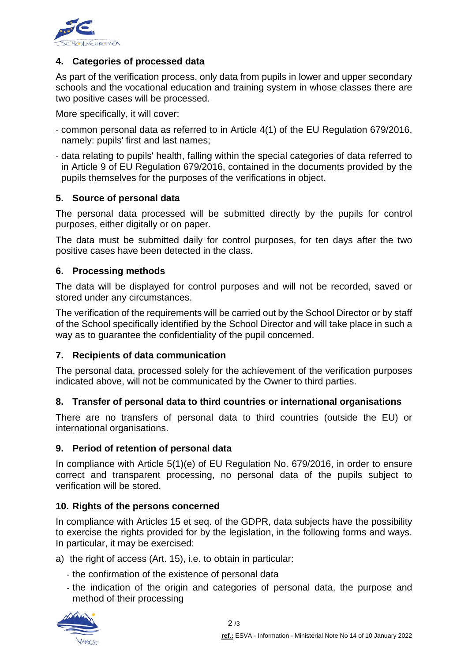

# **4. Categories of processed data**

As part of the verification process, only data from pupils in lower and upper secondary schools and the vocational education and training system in whose classes there are two positive cases will be processed.

More specifically, it will cover:

- common personal data as referred to in Article 4(1) of the EU Regulation 679/2016, namely: pupils' first and last names;
- data relating to pupils' health, falling within the special categories of data referred to in Article 9 of EU Regulation 679/2016, contained in the documents provided by the pupils themselves for the purposes of the verifications in object.

#### **5. Source of personal data**

The personal data processed will be submitted directly by the pupils for control purposes, either digitally or on paper.

The data must be submitted daily for control purposes, for ten days after the two positive cases have been detected in the class.

#### **6. Processing methods**

The data will be displayed for control purposes and will not be recorded, saved or stored under any circumstances.

The verification of the requirements will be carried out by the School Director or by staff of the School specifically identified by the School Director and will take place in such a way as to guarantee the confidentiality of the pupil concerned.

#### **7. Recipients of data communication**

The personal data, processed solely for the achievement of the verification purposes indicated above, will not be communicated by the Owner to third parties.

# **8. Transfer of personal data to third countries or international organisations**

There are no transfers of personal data to third countries (outside the EU) or international organisations.

#### **9. Period of retention of personal data**

In compliance with Article 5(1)(e) of EU Regulation No. 679/2016, in order to ensure correct and transparent processing, no personal data of the pupils subject to verification will be stored.

#### **10. Rights of the persons concerned**

In compliance with Articles 15 et seq. of the GDPR, data subjects have the possibility to exercise the rights provided for by the legislation, in the following forms and ways. In particular, it may be exercised:

- a) the right of access (Art. 15), i.e. to obtain in particular:
	- the confirmation of the existence of personal data
	- the indication of the origin and categories of personal data, the purpose and method of their processing